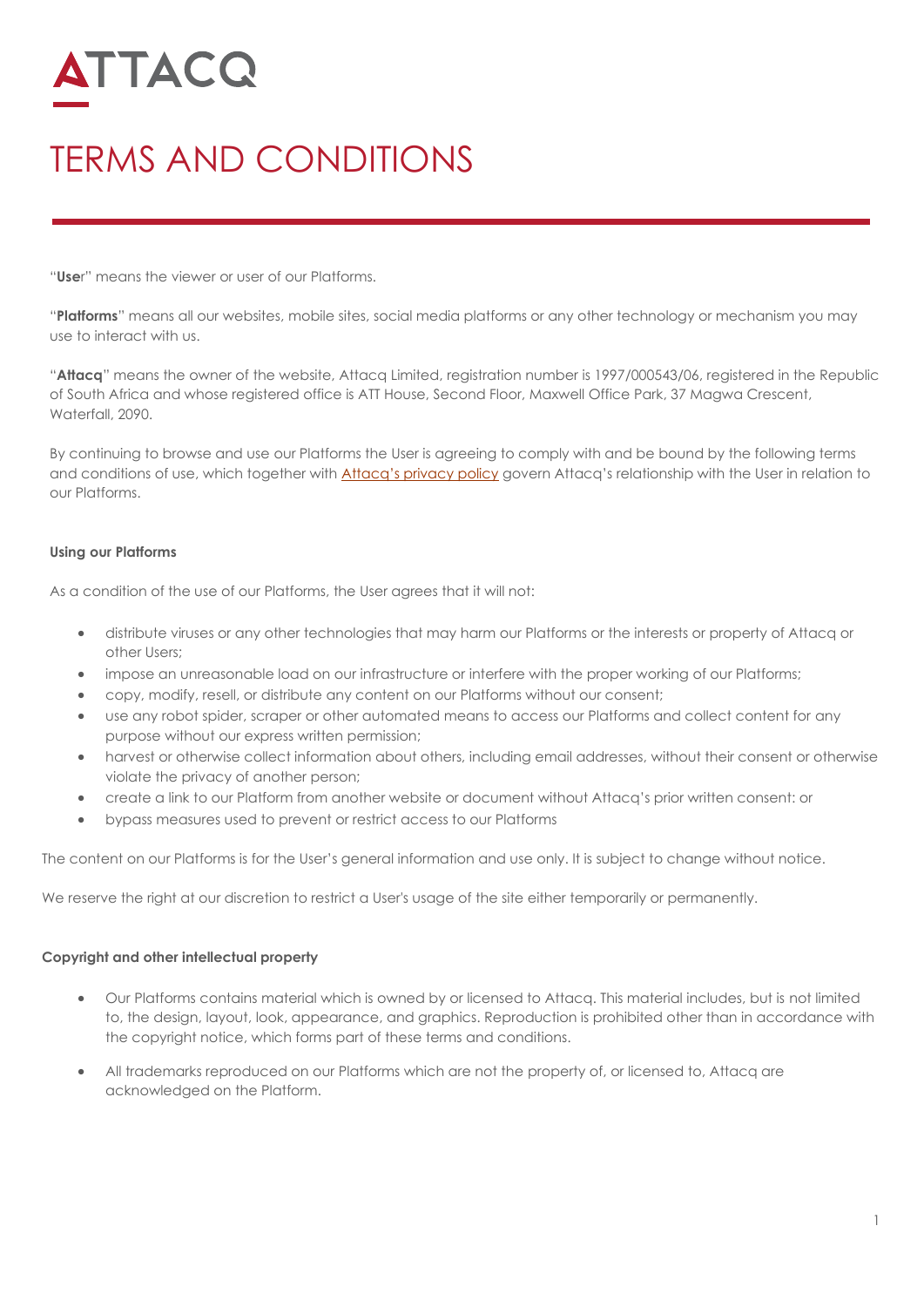# ATTACQ

# TERMS AND CONDITIONS

"**Use**r" means the viewer or user of our Platforms.

"**Platforms**" means all our websites, mobile sites, social media platforms or any other technology or mechanism you may use to interact with us.

"**Attacq**" means the owner of the website, Attacq Limited, registration number is 1997/000543/06, registered in the Republic of South Africa and whose registered office is ATT House, Second Floor, Maxwell Office Park, 37 Magwa Crescent, Waterfall, 2090.

By continuing to browse and use our Platforms the User is agreeing to comply with and be bound by the following terms and conditions of use, which together with **Attacq's privacy policy** govern Attacq's relationship with the User in relation to our Platforms.

## **Using our Platforms**

As a condition of the use of our Platforms, the User agrees that it will not:

- distribute viruses or any other technologies that may harm our Platforms or the interests or property of Attacq or other Users;
- impose an unreasonable load on our infrastructure or interfere with the proper working of our Platforms;
- copy, modify, resell, or distribute any content on our Platforms without our consent;
- use any robot spider, scraper or other automated means to access our Platforms and collect content for any purpose without our express written permission;
- harvest or otherwise collect information about others, including email addresses, without their consent or otherwise violate the privacy of another person;
- create a link to our Platform from another website or document without Attacq's prior written consent: or
- bypass measures used to prevent or restrict access to our Platforms

The content on our Platforms is for the User's general information and use only. It is subject to change without notice.

We reserve the right at our discretion to restrict a User's usage of the site either temporarily or permanently.

#### **Copyright and other intellectual property**

- Our Platforms contains material which is owned by or licensed to Attacq. This material includes, but is not limited to, the design, layout, look, appearance, and graphics. Reproduction is prohibited other than in accordance with the copyright notice, which forms part of these terms and conditions.
- All trademarks reproduced on our Platforms which are not the property of, or licensed to, Attacq are acknowledged on the Platform.